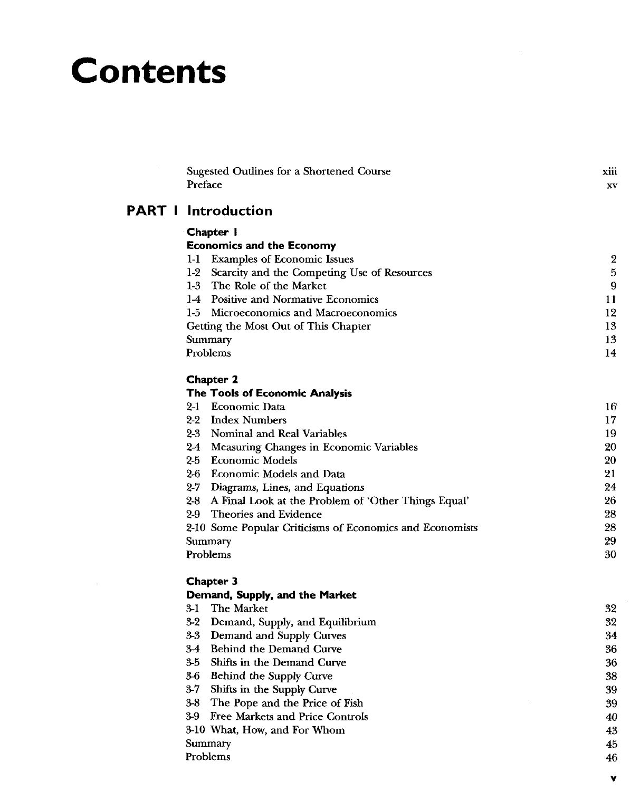# **Contents**

| Sugested Outlines for a Shortened Course<br>Preface          | xiii<br>XV       |
|--------------------------------------------------------------|------------------|
| <b>PART   Introduction</b>                                   |                  |
| Chapter 1                                                    |                  |
| <b>Economics and the Economy</b>                             |                  |
| 1-1 Examples of Economic Issues                              | $\boldsymbol{2}$ |
| 1-2 Scarcity and the Competing Use of Resources              | 5                |
| 1-3 The Role of the Market                                   | 9                |
| 14 Positive and Normative Economics                          | 11               |
| 1-5 Microeconomics and Macroeconomics                        | 12               |
| Getting the Most Out of This Chapter                         | 13               |
| Summary                                                      | 13               |
| Problems                                                     | 14               |
| Chapter 2                                                    |                  |
| The Tools of Economic Analysis                               |                  |
| 2-1 Economic Data                                            | 16               |
| $2-2$<br><b>Index Numbers</b>                                | 17               |
| 23<br>Nominal and Real Variables                             | 19               |
| 2-4 Measuring Changes in Economic Variables                  | 20               |
| $2-5$<br><b>Economic Models</b>                              | 20               |
| 2-6 Economic Models and Data                                 | 21               |
| 2-7 Diagrams, Lines, and Equations                           | 24               |
| $2-8$<br>A Final Look at the Problem of 'Other Things Equal' | 26               |
| 29<br>Theories and Evidence                                  | 28               |
| 2-10 Some Popular Criticisms of Economics and Economists     | 28               |
| Summary                                                      | 29               |
| Problems                                                     | 30               |
| Chapter 3                                                    |                  |
| Demand, Supply, and the Market                               |                  |
| 3-1<br>The Market                                            | 32               |
| $3-2$<br>Demand, Supply, and Equilibrium                     | 32               |
| $3-3$<br>Demand and Supply Curves                            | 34               |
| $3-4$<br>Behind the Demand Curve                             | 36               |
| 35<br>Shifts in the Demand Curve                             | 36               |
| 3-6<br>Behind the Supply Curve                               | 38               |
| $3-7$<br>Shifts in the Supply Curve                          | 39               |
| 3-8<br>The Pope and the Price of Fish                        | 39               |
| 39<br>Free Markets and Price Controls                        | 40               |
| 3-10 What, How, and For Whom                                 | 43               |
| Summary                                                      | 45               |

Problems **46** 

ν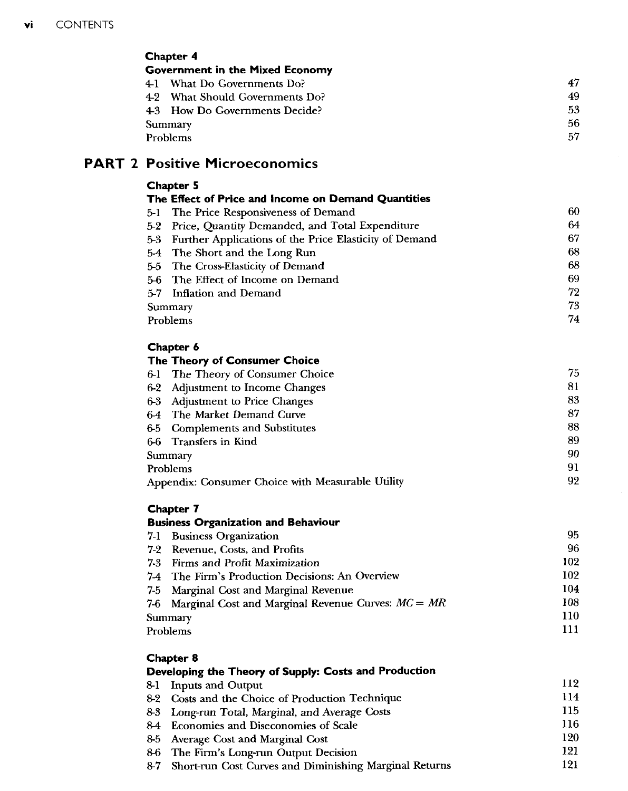## Chapter 4 Government in the Mixed Economy 4-1 What Do Governments Do? 47 4-2 What Should Governments Do? 49<br>4-3 How Do Governments Decide? 53 4-3 How Do Governments Decide? 53<br>Summary 56 Summary 56<br>Problems 57 Problems 57

# PART 2 Positive Microeconomics

## Chapter 5

| The Effect of Price and Income on Demand Quantities        |    |  |
|------------------------------------------------------------|----|--|
| 5-1 The Price Responsiveness of Demand                     | 60 |  |
| 5-2 Price, Quantity Demanded, and Total Expenditure        | 64 |  |
| 5-3 Further Applications of the Price Elasticity of Demand | 67 |  |
| 5-4 The Short and the Long Run                             | 68 |  |
| 5-5 The Cross-Elasticity of Demand                         | 68 |  |
| 5-6 The Effect of Income on Demand                         | 69 |  |
| 5-7 Inflation and Demand                                   | 72 |  |
| Summary                                                    | 73 |  |
| Problems                                                   | 74 |  |

## Chapter 6

## The Theory of Consumer Choice

| 6-1 | The Theory of Consumer Choice                     | 75 |
|-----|---------------------------------------------------|----|
|     | 6-2 Adjustment to Income Changes                  | 81 |
|     | 6-3 Adjustment to Price Changes                   | 83 |
|     | 6-4 The Market Demand Curve                       | 87 |
|     | 6-5 Complements and Substitutes                   | 88 |
|     | 6-6 Transfers in Kind                             | 89 |
|     | Summary                                           | 90 |
|     | Problems                                          | 91 |
|     | Appendix: Consumer Choice with Measurable Utility | 92 |

# Chapter 7

## Business Organization and Behaviour

| 7-1 Business Organization                                | 95. |
|----------------------------------------------------------|-----|
| 7-2 Revenue, Costs, and Profits                          | 96. |
| 7-3 Firms and Profit Maximization                        | 102 |
| 7-4 The Firm's Production Decisions: An Overview         | 102 |
| 7-5 Marginal Cost and Marginal Revenue                   | 104 |
| 7-6 Marginal Cost and Marginal Revenue Curves: $MC = MR$ | 108 |
| Summary                                                  | 110 |
| Problems                                                 | 111 |

| Chapter 8                                                  |     |  |
|------------------------------------------------------------|-----|--|
| Developing the Theory of Supply: Costs and Production      |     |  |
| 8-1 Inputs and Output                                      | 112 |  |
| 8-2 Costs and the Choice of Production Technique           | 114 |  |
| 8-3 Long-run Total, Marginal, and Average Costs            | 115 |  |
| 84 Economies and Diseconomies of Scale                     | 116 |  |
| 8-5 Average Cost and Marginal Cost                         | 120 |  |
| 8-6 The Firm's Long-run Output Decision                    | 121 |  |
| 8-7 Short-run Cost Curves and Diminishing Marginal Returns | 121 |  |
|                                                            |     |  |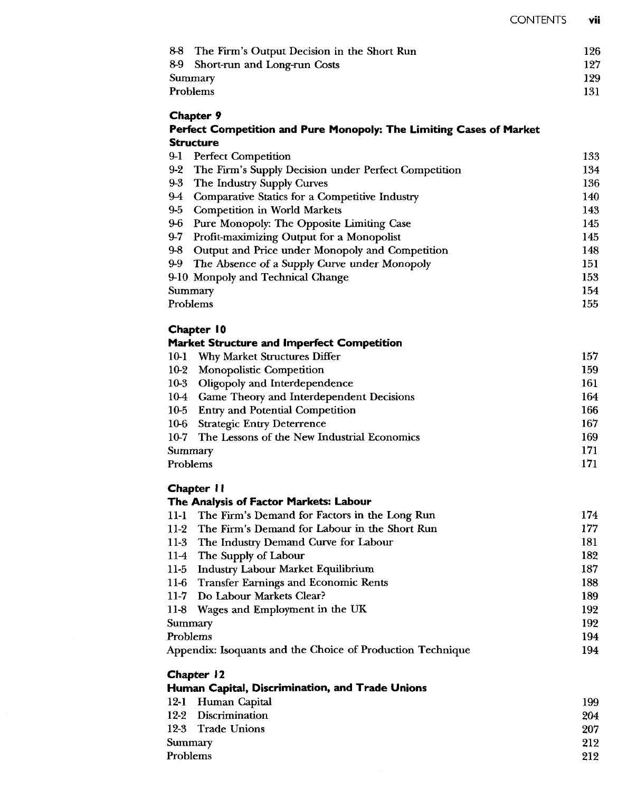| 8-8<br>The Firm's Output Decision in the Short Run                  | 126        |
|---------------------------------------------------------------------|------------|
| 8-9<br>Short-run and Long-run Costs                                 | 127        |
| Summary                                                             | 129        |
| Problems                                                            | 131        |
| Chapter 9                                                           |            |
| Perfect Competition and Pure Monopoly: The Limiting Cases of Market |            |
| Structure                                                           |            |
| $9-1$<br><b>Perfect Competition</b>                                 | 133        |
| $9 - 2$<br>The Firm's Supply Decision under Perfect Competition     | 134        |
| $9-3$<br>The Industry Supply Curves                                 | 136        |
| 94<br>Comparative Statics for a Competitive Industry                | 140        |
| 9.5<br><b>Competition in World Markets</b><br>$9-6$                 | 143<br>145 |
| Pure Monopoly: The Opposite Limiting Case                           |            |
| $9-7$<br>Profit-maximizing Output for a Monopolist                  | 145        |
| $9-8$<br>Output and Price under Monopoly and Competition            | 148        |
| 99<br>The Absence of a Supply Curve under Monopoly                  | 151        |
| 9-10 Monpoly and Technical Change                                   | 153        |
| Summary                                                             | 154        |
| Problems                                                            | 155        |
| Chapter 10                                                          |            |
| <b>Market Structure and Imperfect Competition</b>                   |            |
| 10-1 Why Market Structures Differ                                   | 157        |
| <b>Monopolistic Competition</b><br>10-2                             | 159        |
| 10-3<br>Oligopoly and Interdependence                               | 161        |
| 10-4 Game Theory and Interdependent Decisions                       | 164        |
| 10-5 Entry and Potential Competition                                | 166        |
| 10-6 Strategic Entry Deterrence                                     | 167        |
| 10-7 The Lessons of the New Industrial Economics                    | 169        |
| Summary                                                             | 171        |
| Problems                                                            | 171        |
| Chapter 11                                                          |            |
| The Analysis of Factor Markets: Labour                              |            |
| 11-1 The Firm's Demand for Factors in the Long Run                  | 174        |
| 11-2 The Firm's Demand for Labour in the Short Run                  | 177        |
| 11-3 The Industry Demand Curve for Labour                           | 181        |
| $11-4$<br>The Supply of Labour                                      | 182        |
| $11-5$<br><b>Industry Labour Market Equilibrium</b>                 | 187        |
| <b>Transfer Earnings and Economic Rents</b><br>$11-6$               | 188        |
| $11-7$<br>Do Labour Markets Clear?                                  | 189        |
| $11-8$<br>Wages and Employment in the UK                            | 192        |
| Summary                                                             | 192        |
| Problems                                                            | 194        |
| Appendix: Isoquants and the Choice of Production Technique          | 194        |
| Chapter 12                                                          |            |
| Human Capital, Discrimination, and Trade Unions                     |            |
| 12-1<br>Human Capital                                               | 199        |
| $12-2$<br>Discrimination                                            | 204        |
| $12-3$<br><b>Trade Unions</b>                                       | 207        |
| Summary                                                             | 212        |
| Problems                                                            | 212        |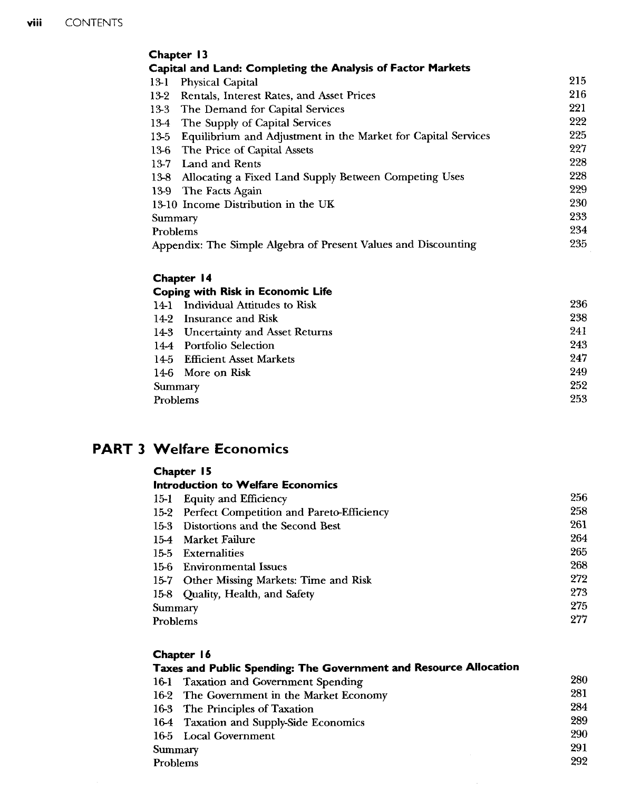| Chapter 13 |                                                                |     |  |
|------------|----------------------------------------------------------------|-----|--|
|            | Capital and Land: Completing the Analysis of Factor Markets    |     |  |
| 13-1       | <b>Physical Capital</b>                                        | 215 |  |
| 13-2       | Rentals, Interest Rates, and Asset Prices                      | 216 |  |
| 13-3       | The Demand for Capital Services                                | 221 |  |
|            | 13-4 The Supply of Capital Services                            | 222 |  |
| 13-5       | Equilibrium and Adjustment in the Market for Capital Services  | 225 |  |
| 13-6       | The Price of Capital Assets                                    | 227 |  |
| $13-7$     | <b>Land and Rents</b>                                          | 228 |  |
| 13-8       | Allocating a Fixed Land Supply Between Competing Uses          | 228 |  |
|            | 13-9 The Facts Again                                           | 229 |  |
|            | 13-10 Income Distribution in the UK                            | 230 |  |
| Summary    |                                                                | 233 |  |
| Problems   |                                                                | 234 |  |
|            | Appendix: The Simple Algebra of Present Values and Discounting | 235 |  |

## Chapter 14

|          | <b>Coping with Risk in Economic Life</b> |     |
|----------|------------------------------------------|-----|
|          | 14-1 Individual Attitudes to Risk        | 236 |
|          | 14-2 Insurance and Risk                  | 238 |
|          | 14-3 Uncertainty and Asset Returns       | 241 |
|          | 14-4 Portfolio Selection                 | 243 |
|          | 14-5 Efficient Asset Markets             | 247 |
|          | 14-6 More on Risk                        | 249 |
| Summary  |                                          | 252 |
| Problems |                                          | 253 |

# PART 3 Welfare Economics

| nanter |  |
|--------|--|
|--------|--|

## Introduction to Welfare Economics

|          | 15-1 Equity and Efficiency                     | 256 |
|----------|------------------------------------------------|-----|
|          | 15-2 Perfect Competition and Pareto-Efficiency | 258 |
|          | 15-3 Distortions and the Second Best           | 261 |
|          | 15-4 Market Failure                            | 264 |
|          | 15-5 Externalities                             | 265 |
|          | 15-6 Environmental Issues                      | 268 |
|          | 15-7 Other Missing Markets: Time and Risk      | 272 |
|          | 15-8 Quality, Health, and Safety               | 273 |
| Summary  |                                                | 275 |
| Problems |                                                | 277 |

#### Chapter 16 Taxes and Public Spending: The Government and Resource Allocation 16-1 Taxation and Government Spending 16-2 The Government in the Market Economy 16-3 The Principles of Taxation 16-4 Taxation and Supply-Side Economics 16-5 Local Government Summary Problems 280 281 284 289 290 291 292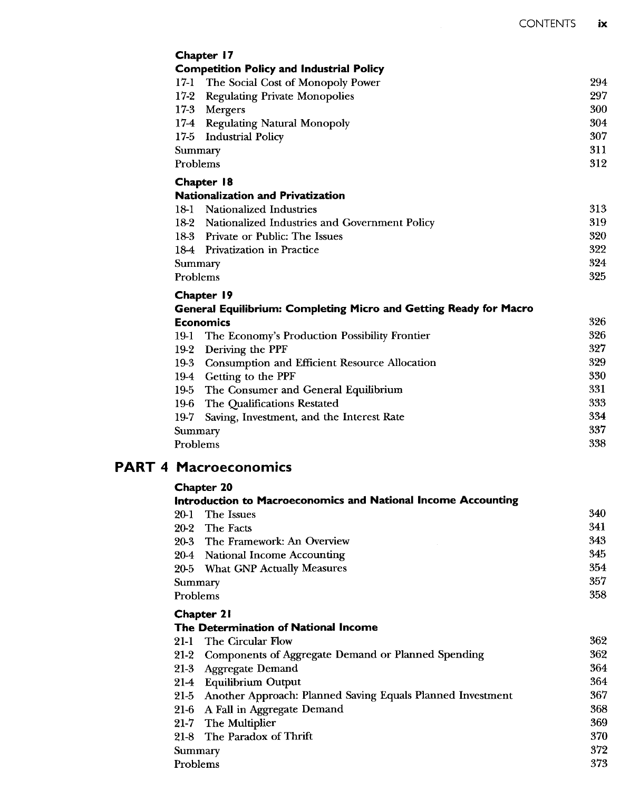| Chapter 17                                                               |     |
|--------------------------------------------------------------------------|-----|
| <b>Competition Policy and Industrial Policy</b>                          |     |
| 17-1 The Social Cost of Monopoly Power                                   | 294 |
| $17-2$<br><b>Regulating Private Monopolies</b>                           | 297 |
| $17-3$<br>Mergers                                                        | 300 |
| $17-4$<br><b>Regulating Natural Monopoly</b>                             | 304 |
| $17-5$<br><b>Industrial Policy</b>                                       | 307 |
| Summary                                                                  | 311 |
| Problems                                                                 | 312 |
| Chapter 18                                                               |     |
| <b>Nationalization and Privatization</b>                                 |     |
| 18-1 Nationalized Industries                                             | 313 |
| 18-2 Nationalized Industries and Government Policy                       | 319 |
| 18-3 Private or Public: The Issues                                       | 320 |
| 18-4 Privatization in Practice                                           | 322 |
| Summary                                                                  | 324 |
| Problems                                                                 |     |
| Chapter 19                                                               |     |
| <b>General Equilibrium: Completing Micro and Getting Ready for Macro</b> |     |
| <b>Economics</b>                                                         | 326 |
| The Economy's Production Possibility Frontier<br>19-1                    | 326 |
| 19-2<br>Deriving the PPF                                                 | 327 |
| Consumption and Efficient Resource Allocation<br>19-3                    | 329 |
| 19-4 Getting to the PPF                                                  | 330 |
| $19-5$<br>The Consumer and General Equilibrium                           | 331 |
| 19-6<br>The Qualifications Restated                                      | 333 |
| 19-7<br>Saving, Investment, and the Interest Rate                        | 334 |
| Summary                                                                  |     |
| Problems                                                                 |     |

# PART 4 Macroeconomics Chapter 20

| Introduction to Macroeconomics and National Income Accounting      |     |
|--------------------------------------------------------------------|-----|
| The Issues<br>20-1                                                 | 340 |
| The Facts<br>20-2                                                  | 341 |
| The Framework: An Overview<br>20-3                                 | 343 |
| 20-4 National Income Accounting                                    | 345 |
| 20-5 What GNP Actually Measures                                    | 354 |
| Summary                                                            | 357 |
| Problems                                                           | 358 |
| <b>Chapter 21</b>                                                  |     |
| The Determination of National Income                               |     |
| The Circular Flow<br>21-1                                          | 362 |
| Components of Aggregate Demand or Planned Spending<br>21-2         | 362 |
| <b>Aggregate Demand</b><br>21-3                                    | 364 |
| <b>Equilibrium Output</b><br>21-4                                  | 364 |
| Another Approach: Planned Saving Equals Planned Investment<br>21-5 | 367 |
| A Fall in Aggregate Demand<br>21-6                                 | 368 |
| The Multiplier<br>21-7                                             | 369 |
| The Paradox of Thrift<br>21-8                                      | 370 |
| Summary                                                            | 372 |
| Problems                                                           | 373 |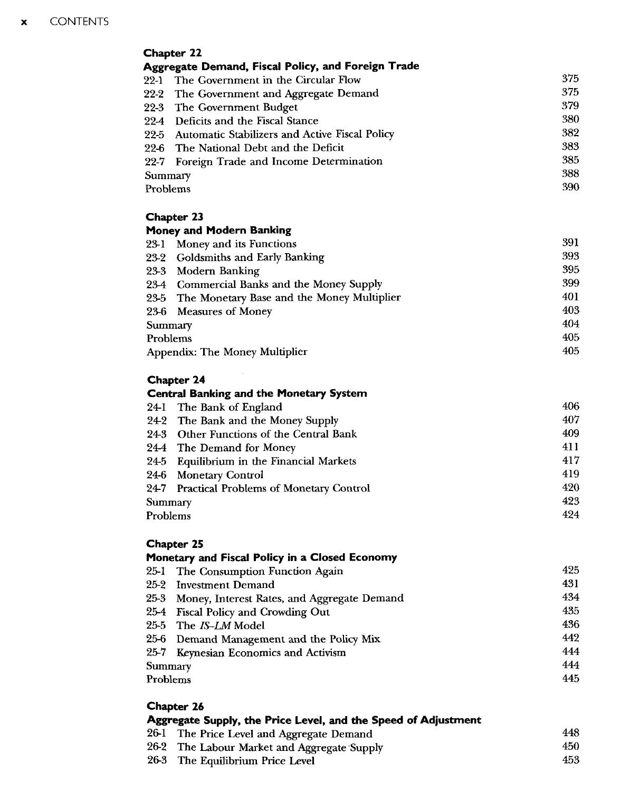|          | <b>Chapter 22</b>                                   |     |
|----------|-----------------------------------------------------|-----|
|          | Aggregate Demand, Fiscal Policy, and Foreign Trade  |     |
|          | 22-1 The Government in the Circular Flow            | 375 |
|          | 22-2 The Government and Aggregate Demand            | 375 |
|          | 22-3 The Government Budget                          | 379 |
|          | 22-4 Deficits and the Fiscal Stance                 | 380 |
|          | 22-5 Automatic Stabilizers and Active Fiscal Policy | 382 |
|          | 22-6 The National Debt and the Deficit              | 383 |
|          | 22-7 Foreign Trade and Income Determination         | 385 |
| Summary  |                                                     | 388 |
| Problems |                                                     | 390 |
|          | Chapter 23                                          |     |
|          | Money and Modern Banking                            |     |

| 23-1     | Money and its Functions                         | 391 |
|----------|-------------------------------------------------|-----|
|          | 23-2 Goldsmiths and Early Banking               | 393 |
|          | 23-3 Modern Banking                             | 395 |
|          | 23-4 Commercial Banks and the Money Supply      | 399 |
|          | 23-5 The Monetary Base and the Money Multiplier | 401 |
|          | 23-6 Measures of Money                          | 403 |
| Summary  |                                                 | 404 |
| Problems |                                                 | 405 |
|          | Appendix: The Money Multiplier                  | 405 |

# Chapter 24

|          | <b>Central Banking and the Monetary System</b> |     |
|----------|------------------------------------------------|-----|
|          | 24-1 The Bank of England                       | 406 |
|          | 242 The Bank and the Money Supply              | 407 |
|          | 24-3 Other Functions of the Central Bank       | 409 |
|          | 24-4 The Demand for Money                      | 411 |
|          | 24-5 Equilibrium in the Financial Markets      | 417 |
|          | 24-6 Monetary Control                          | 419 |
|          | 24-7 Practical Problems of Monetary Control    | 420 |
| Summary  |                                                | 423 |
| Problems |                                                | 424 |

#### Chapter 25 Monetary and Fiscal Policy in a Closed Economy

|          | Plonetary and Fiscal Folicy in a Closed Economy  |     |
|----------|--------------------------------------------------|-----|
|          | 25-1 The Consumption Function Again              | 425 |
|          | 25-2 Investment Demand                           | 431 |
|          | 25-3 Money, Interest Rates, and Aggregate Demand | 434 |
|          | 25-4 Fiscal Policy and Crowding Out              | 435 |
|          | 25-5 The IS-LM Model                             | 436 |
|          | 25-6 Demand Management and the Policy Mix        | 442 |
|          | 25-7 Keynesian Economics and Activism            | 444 |
| Summary  |                                                  | 444 |
| Problems |                                                  | 445 |
|          |                                                  |     |

## Chapter 26

| Aggregate Supply, the Price Level, and the Speed of Adjustment |                                             |      |
|----------------------------------------------------------------|---------------------------------------------|------|
|                                                                | 26-1 The Price Level and Aggregate Demand   | 448  |
|                                                                | 26-2 The Labour Market and Aggregate Supply | 450- |
|                                                                | 26-3 The Equilibrium Price Level            | 453. |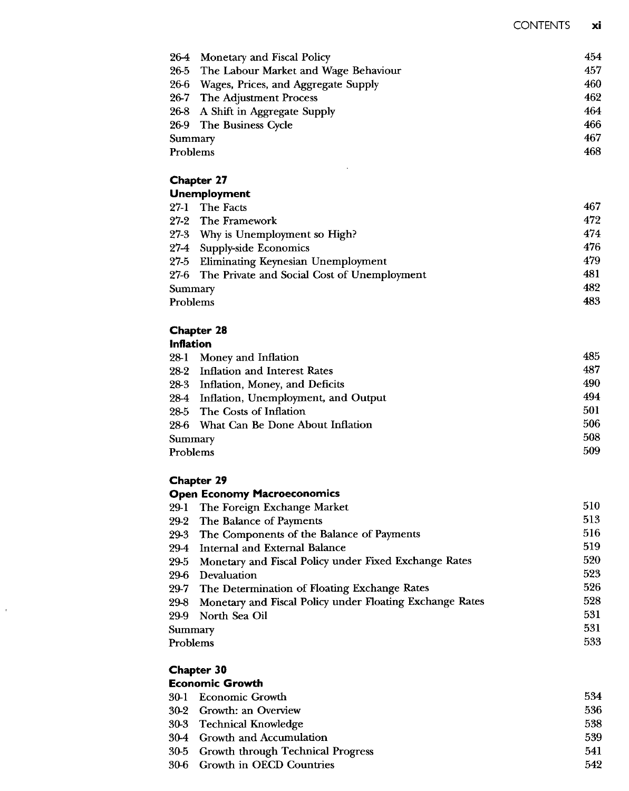|          | 26-4 Monetary and Fiscal Policy           | 454 |
|----------|-------------------------------------------|-----|
|          | 26-5 The Labour Market and Wage Behaviour | 457 |
|          | 26-6 Wages, Prices, and Aggregate Supply  | 460 |
|          | 26-7 The Adjustment Process               | 462 |
|          | 26-8 A Shift in Aggregate Supply          | 464 |
|          | 26-9 The Business Cycle                   | 466 |
| Summary  |                                           | 467 |
| Problems |                                           | 468 |

 $\ddot{\phantom{0}}$ 

## Chapter 27

|          | <b>Unemployment</b>                              |     |
|----------|--------------------------------------------------|-----|
|          | 27-1 The Facts                                   | 467 |
|          | 27-2 The Framework                               | 472 |
|          | 27-3 Why is Unemployment so High?                | 474 |
|          | 27-4 Supply-side Economics                       | 476 |
|          | 27-5 Eliminating Keynesian Unemployment          | 479 |
|          | 27-6 The Private and Social Cost of Unemployment | 481 |
| Summary  |                                                  | 482 |
| Problems |                                                  | 483 |

#### Chapter 28 Inflation

| ншаши    |                                          |     |
|----------|------------------------------------------|-----|
|          | 28-1 Money and Inflation                 | 485 |
|          | 28-2 Inflation and Interest Rates        | 487 |
|          | 28-3 Inflation, Money, and Deficits      | 490 |
|          | 28-4 Inflation, Unemployment, and Output | 494 |
|          | 28-5 The Costs of Inflation              | 501 |
|          | 28-6 What Can Be Done About Inflation    | 506 |
| Summary  |                                          | 508 |
| Problems |                                          | 509 |
|          |                                          |     |

# Chapter 29

#### Open Economy Macroeconomics

|          | 29-1 The Foreign Exchange Market                              | 510 |
|----------|---------------------------------------------------------------|-----|
|          | 29-2 The Balance of Payments                                  | 513 |
|          | 29-3 The Components of the Balance of Payments                | 516 |
|          | 29-4 Internal and External Balance                            | 519 |
|          | 29-5 Monetary and Fiscal Policy under Fixed Exchange Rates    | 520 |
| 29-6     | Devaluation                                                   | 523 |
|          | 29-7 The Determination of Floating Exchange Rates             | 526 |
|          | 29-8 Monetary and Fiscal Policy under Floating Exchange Rates | 528 |
|          | 29-9 North Sea Oil                                            | 531 |
|          | Summary                                                       | 531 |
| Problems |                                                               | 533 |
|          |                                                               |     |

## Chapter 30

## Economic Growth

| 30-1 Economic Growth                   | 534 |
|----------------------------------------|-----|
| 30-2 Growth: an Overview               | 536 |
| 30-3 Technical Knowledge               | 538 |
| 30-4 Growth and Accumulation           | 539 |
| 30-5 Growth through Technical Progress | 541 |
| 30-6 Growth in OECD Countries          | 542 |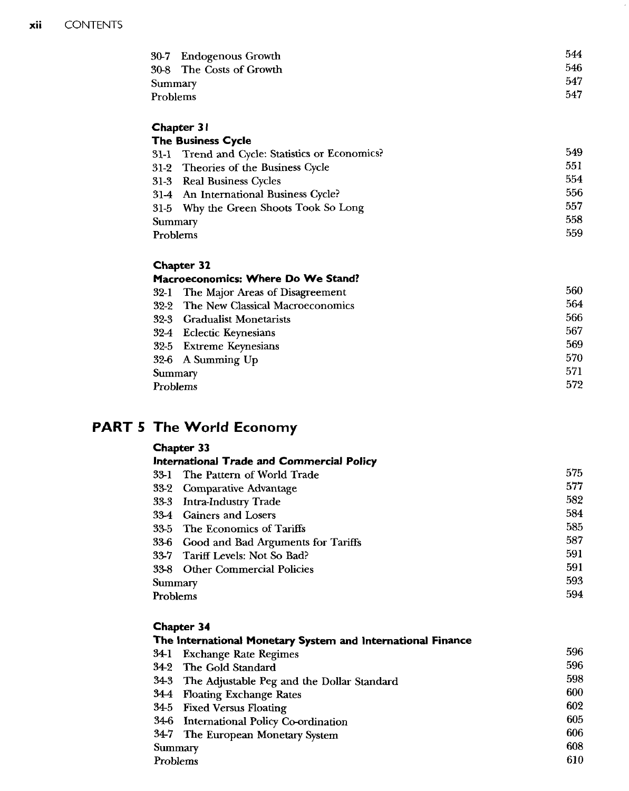| 544 |
|-----|
| 546 |
| 547 |
| 547 |
|     |

## Chapter 31 The Business Cycle

|          | 31-1 Trend and Cycle: Statistics or Economics? | 549 |
|----------|------------------------------------------------|-----|
|          | 31-2 Theories of the Business Cycle            | 551 |
|          | 31-3 Real Business Cycles                      | 554 |
|          | 31-4 An International Business Cycle?          | 556 |
|          | 31-5 Why the Green Shoots Took So Long         | 557 |
| Summary  |                                                | 558 |
| Problems |                                                | 559 |
|          |                                                |     |

## Chapter 32

| Macroeconomics: Where Do We Stand? |                                       |     |  |
|------------------------------------|---------------------------------------|-----|--|
|                                    | 32-1 The Major Areas of Disagreement  | 560 |  |
|                                    | 32-2 The New Classical Macroeconomics | 564 |  |
|                                    | 32-3 Gradualist Monetarists           | 566 |  |
|                                    | 32-4 Eclectic Keynesians              | 567 |  |
|                                    | 32-5 Extreme Keynesians               | 569 |  |
|                                    | 32-6 A Summing Up                     | 570 |  |
| Summary                            |                                       | 571 |  |
| Problems                           |                                       | 572 |  |
|                                    |                                       |     |  |

# PART 5 The World Economy

| <b>Chapter 33</b>                          |     |
|--------------------------------------------|-----|
| International Trade and Commercial Policy  |     |
| 33-1 The Pattern of World Trade            | 575 |
| 33-2 Comparative Advantage                 | 577 |
| 33-3 Intra-Industry Trade                  | 582 |
| 33-4 Gainers and Losers                    | 584 |
| 33-5 The Economics of Tariffs              | 585 |
| Good and Bad Arguments for Tariffs<br>33-6 | 587 |
| 33-7 Tariff Levels: Not So Bad?            | 591 |
| 33-8 Other Commercial Policies             | 591 |
| Summary                                    | 593 |
| Problems                                   | 594 |

# Chapter 34

| The International Monetary System and International Finance |                                                 |     |  |
|-------------------------------------------------------------|-------------------------------------------------|-----|--|
|                                                             | 34-1 Exchange Rate Regimes                      | 596 |  |
|                                                             | 34-2 The Gold Standard                          | 596 |  |
|                                                             | 34-3 The Adjustable Peg and the Dollar Standard | 598 |  |
|                                                             | 34-4 Floating Exchange Rates                    | 600 |  |
|                                                             | 34-5 Fixed Versus Floating                      | 602 |  |
|                                                             | 34-6 International Policy Co-ordination         | 605 |  |
|                                                             | 34-7 The European Monetary System               | 606 |  |
| Summary                                                     |                                                 | 608 |  |
| Problems                                                    |                                                 | 610 |  |